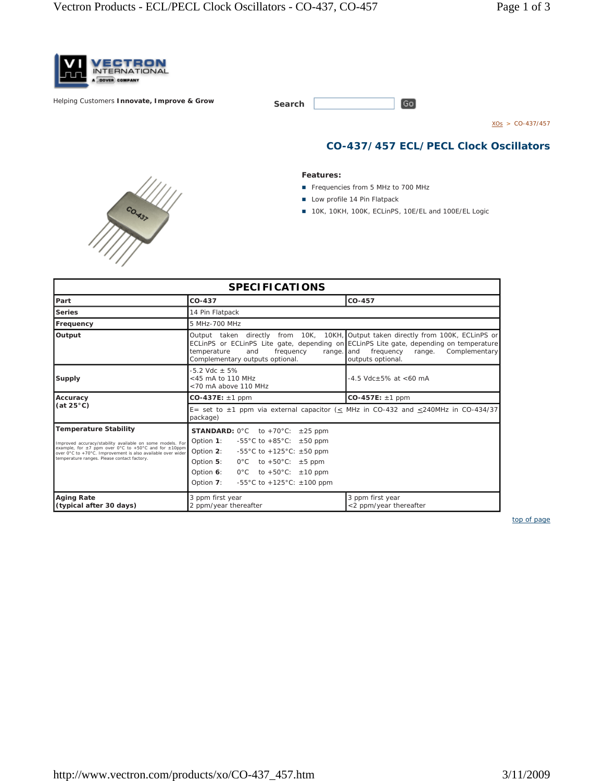

**Helping Customers Innovate, Improve & Grow** 

COMBY

| Search |  |
|--------|--|
|        |  |

 $XOS > CO-437/457$ 

## **CO-437/457 ECL/PECL Clock Oscillators**

## **Features:**

- Frequencies from 5 MHz to 700 MHz
- **Low profile 14 Pin Flatpack**
- 10K, 10KH, 100K, ECLinPS, 10E/EL and 100E/EL Logic

 $\boxed{Go}$ 

| <b>SPECIFICATIONS</b>                                                                                                                                                                                                                      |                                                                                                                                                                                                                                                                         |                                                           |  |  |  |  |
|--------------------------------------------------------------------------------------------------------------------------------------------------------------------------------------------------------------------------------------------|-------------------------------------------------------------------------------------------------------------------------------------------------------------------------------------------------------------------------------------------------------------------------|-----------------------------------------------------------|--|--|--|--|
| Part                                                                                                                                                                                                                                       | $CO-437$                                                                                                                                                                                                                                                                | CO-457                                                    |  |  |  |  |
| <b>Series</b>                                                                                                                                                                                                                              | 14 Pin Flatpack                                                                                                                                                                                                                                                         |                                                           |  |  |  |  |
| Frequency                                                                                                                                                                                                                                  | 5 MHz-700 MHz                                                                                                                                                                                                                                                           |                                                           |  |  |  |  |
| Output                                                                                                                                                                                                                                     | Output taken directly from 10K, 10KH, Output taken directly from 100K, ECLinPS or<br>ECLINPS or ECLINPS Lite gate, depending on ECLINPS Lite gate, depending on temperature<br>frequency<br>temperature<br>and<br>range. and<br>Complementary outputs optional.         | Complementary<br>frequency<br>range.<br>outputs optional. |  |  |  |  |
| <b>Supply</b>                                                                                                                                                                                                                              | $-5.2$ Vdc $+5\%$<br><45 mA to 110 MHz<br><70 mA above 110 MHz                                                                                                                                                                                                          | $-4.5$ Vdc+5% at <60 mA                                   |  |  |  |  |
| Accuracy<br>(at 25°C)                                                                                                                                                                                                                      | $CO-437E: \pm 1$ ppm                                                                                                                                                                                                                                                    | $CO-457E: \pm 1$ ppm                                      |  |  |  |  |
|                                                                                                                                                                                                                                            | E= set to $\pm$ 1 ppm via external capacitor (< MHz in CO-432 and <240MHz in CO-434/37<br>package)                                                                                                                                                                      |                                                           |  |  |  |  |
| <b>Temperature Stability</b>                                                                                                                                                                                                               | <b>STANDARD:</b> $0^{\circ}$ C to +70 $^{\circ}$ C: $\pm 25$ ppm                                                                                                                                                                                                        |                                                           |  |  |  |  |
| Improved accuracy/stability available on some models. For<br>example, for $\pm 7$ ppm over 0°C to +50°C and for $\pm 10$ ppm<br>over 0°C to +70°C. Improvement is also available over wider<br>temperature ranges. Please contact factory. | Option 1:<br>-55 °C to +85 °C: $\pm$ 50 ppm<br>Option 2:<br>-55°C to +125°C: $\pm 50$ ppm<br>$0^{\circ}$ C to +50 $^{\circ}$ C: $\pm$ 5 ppm<br>Option 5:<br>Option 6:<br>$0^{\circ}$ C to +50 $^{\circ}$ C: $\pm$ 10 ppm<br>Option 7:<br>-55°C to +125°C: $\pm$ 100 ppm |                                                           |  |  |  |  |
| <b>Aging Rate</b><br>(typical after 30 days)                                                                                                                                                                                               | 3 ppm first year<br>2 ppm/year thereafter                                                                                                                                                                                                                               | 3 ppm first year<br><2 ppm/year thereafter                |  |  |  |  |

*top of page*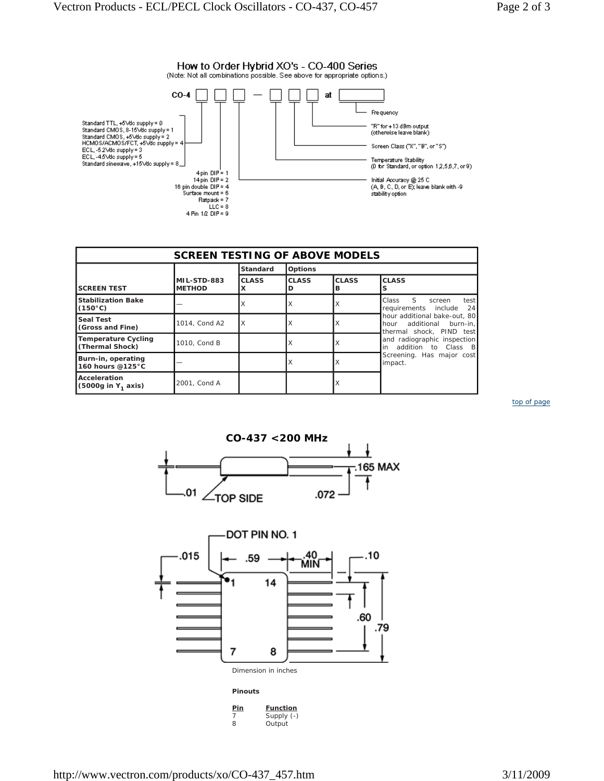

| <b>SCREEN TESTING OF ABOVE MODELS</b>          |                              |                   |                |                   |                                                                                                                                                                                                                                                                    |  |  |  |
|------------------------------------------------|------------------------------|-------------------|----------------|-------------------|--------------------------------------------------------------------------------------------------------------------------------------------------------------------------------------------------------------------------------------------------------------------|--|--|--|
|                                                |                              | <b>Standard</b>   | <b>Options</b> |                   |                                                                                                                                                                                                                                                                    |  |  |  |
| <b>SCREEN TEST</b>                             | MIL-STD-883<br><b>METHOD</b> | <b>CLASS</b><br>x | <b>CLASS</b>   | <b>CLASS</b><br>в | <b>CLASS</b>                                                                                                                                                                                                                                                       |  |  |  |
| <b>Stabilization Bake</b><br>$(150^{\circ}C)$  |                              |                   |                | ΙX                | $\mathcal{S}$<br>Class<br>test<br>screen<br>24<br>requirements include<br>hour additional bake-out, 80<br>additional burn-in,<br>hour<br>thermal shock, PIND test<br>and radiographic inspection<br>in addition to Class B<br>Screening. Has major cost<br>impact. |  |  |  |
| <b>Seal Test</b><br>(Gross and Fine)           | 1014, Cond A2                | X                 |                | X                 |                                                                                                                                                                                                                                                                    |  |  |  |
| <b>Temperature Cycling</b><br>(Thermal Shock)  | 1010, Cond B                 |                   |                | ΙX                |                                                                                                                                                                                                                                                                    |  |  |  |
| Burn-in, operating<br>160 hours @125°C         |                              |                   |                | X                 |                                                                                                                                                                                                                                                                    |  |  |  |
| Acceleration<br>(5000g in Y <sub>1</sub> axis) | 2001, Cond A                 |                   |                | X                 |                                                                                                                                                                                                                                                                    |  |  |  |

*top of page*